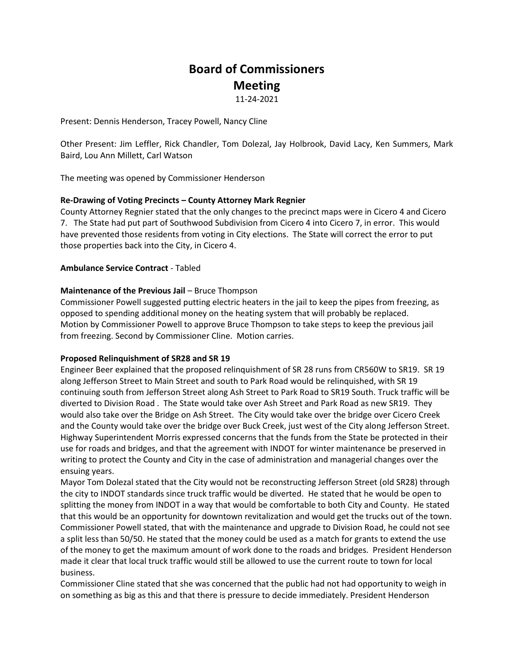# **Board of Commissioners Meeting**

11-24-2021

Present: Dennis Henderson, Tracey Powell, Nancy Cline

Other Present: Jim Leffler, Rick Chandler, Tom Dolezal, Jay Holbrook, David Lacy, Ken Summers, Mark Baird, Lou Ann Millett, Carl Watson

The meeting was opened by Commissioner Henderson

## **Re-Drawing of Voting Precincts – County Attorney Mark Regnier**

County Attorney Regnier stated that the only changes to the precinct maps were in Cicero 4 and Cicero 7. The State had put part of Southwood Subdivision from Cicero 4 into Cicero 7, in error. This would have prevented those residents from voting in City elections. The State will correct the error to put those properties back into the City, in Cicero 4.

### **Ambulance Service Contract** - Tabled

### **Maintenance of the Previous Jail** – Bruce Thompson

Commissioner Powell suggested putting electric heaters in the jail to keep the pipes from freezing, as opposed to spending additional money on the heating system that will probably be replaced. Motion by Commissioner Powell to approve Bruce Thompson to take steps to keep the previous jail from freezing. Second by Commissioner Cline. Motion carries.

#### **Proposed Relinquishment of SR28 and SR 19**

Engineer Beer explained that the proposed relinquishment of SR 28 runs from CR560W to SR19. SR 19 along Jefferson Street to Main Street and south to Park Road would be relinquished, with SR 19 continuing south from Jefferson Street along Ash Street to Park Road to SR19 South. Truck traffic will be diverted to Division Road . The State would take over Ash Street and Park Road as new SR19. They would also take over the Bridge on Ash Street. The City would take over the bridge over Cicero Creek and the County would take over the bridge over Buck Creek, just west of the City along Jefferson Street. Highway Superintendent Morris expressed concerns that the funds from the State be protected in their use for roads and bridges, and that the agreement with INDOT for winter maintenance be preserved in writing to protect the County and City in the case of administration and managerial changes over the ensuing years.

Mayor Tom Dolezal stated that the City would not be reconstructing Jefferson Street (old SR28) through the city to INDOT standards since truck traffic would be diverted. He stated that he would be open to splitting the money from INDOT in a way that would be comfortable to both City and County. He stated that this would be an opportunity for downtown revitalization and would get the trucks out of the town. Commissioner Powell stated, that with the maintenance and upgrade to Division Road, he could not see a split less than 50/50. He stated that the money could be used as a match for grants to extend the use of the money to get the maximum amount of work done to the roads and bridges. President Henderson made it clear that local truck traffic would still be allowed to use the current route to town for local business.

Commissioner Cline stated that she was concerned that the public had not had opportunity to weigh in on something as big as this and that there is pressure to decide immediately. President Henderson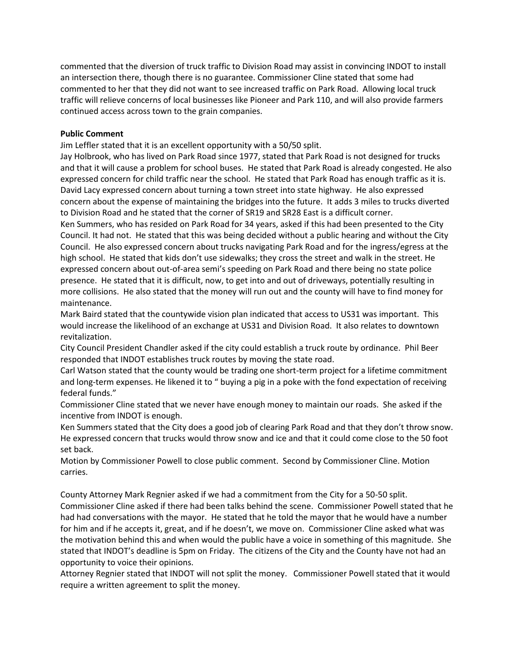commented that the diversion of truck traffic to Division Road may assist in convincing INDOT to install an intersection there, though there is no guarantee. Commissioner Cline stated that some had commented to her that they did not want to see increased traffic on Park Road. Allowing local truck traffic will relieve concerns of local businesses like Pioneer and Park 110, and will also provide farmers continued access across town to the grain companies.

## **Public Comment**

Jim Leffler stated that it is an excellent opportunity with a 50/50 split.

Jay Holbrook, who has lived on Park Road since 1977, stated that Park Road is not designed for trucks and that it will cause a problem for school buses. He stated that Park Road is already congested. He also expressed concern for child traffic near the school. He stated that Park Road has enough traffic as it is. David Lacy expressed concern about turning a town street into state highway. He also expressed concern about the expense of maintaining the bridges into the future. It adds 3 miles to trucks diverted to Division Road and he stated that the corner of SR19 and SR28 East is a difficult corner.

Ken Summers, who has resided on Park Road for 34 years, asked if this had been presented to the City Council. It had not. He stated that this was being decided without a public hearing and without the City Council. He also expressed concern about trucks navigating Park Road and for the ingress/egress at the high school. He stated that kids don't use sidewalks; they cross the street and walk in the street. He expressed concern about out-of-area semi's speeding on Park Road and there being no state police presence. He stated that it is difficult, now, to get into and out of driveways, potentially resulting in more collisions. He also stated that the money will run out and the county will have to find money for maintenance.

Mark Baird stated that the countywide vision plan indicated that access to US31 was important. This would increase the likelihood of an exchange at US31 and Division Road. It also relates to downtown revitalization.

City Council President Chandler asked if the city could establish a truck route by ordinance. Phil Beer responded that INDOT establishes truck routes by moving the state road.

Carl Watson stated that the county would be trading one short-term project for a lifetime commitment and long-term expenses. He likened it to " buying a pig in a poke with the fond expectation of receiving federal funds."

Commissioner Cline stated that we never have enough money to maintain our roads. She asked if the incentive from INDOT is enough.

Ken Summers stated that the City does a good job of clearing Park Road and that they don't throw snow. He expressed concern that trucks would throw snow and ice and that it could come close to the 50 foot set back.

Motion by Commissioner Powell to close public comment. Second by Commissioner Cline. Motion carries.

County Attorney Mark Regnier asked if we had a commitment from the City for a 50-50 split.

Commissioner Cline asked if there had been talks behind the scene. Commissioner Powell stated that he had had conversations with the mayor. He stated that he told the mayor that he would have a number for him and if he accepts it, great, and if he doesn't, we move on. Commissioner Cline asked what was the motivation behind this and when would the public have a voice in something of this magnitude. She stated that INDOT's deadline is 5pm on Friday. The citizens of the City and the County have not had an opportunity to voice their opinions.

Attorney Regnier stated that INDOT will not split the money. Commissioner Powell stated that it would require a written agreement to split the money.